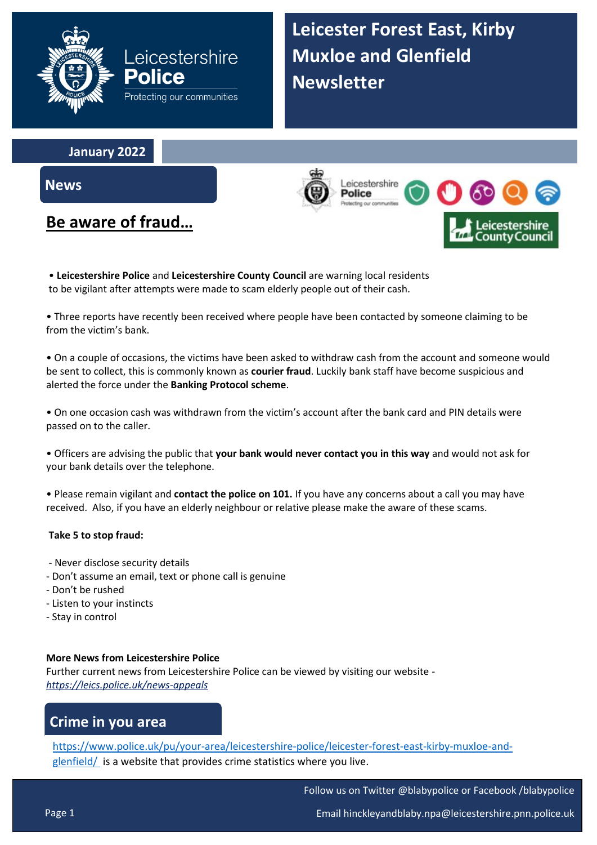

**Leicester Forest East, Kirby Muxloe and Glenfield Newsletter**

**January 2022**

**News**

# **Be aware of fraud…**

\_eicestershire Police

• **Leicestershire Police** and **Leicestershire County Council** are warning local residents to be vigilant after attempts were made to scam elderly people out of their cash.

• Three reports have recently been received where people have been contacted by someone claiming to be from the victim's bank.

• On a couple of occasions, the victims have been asked to withdraw cash from the account and someone would be sent to collect, this is commonly known as **courier fraud**. Luckily bank staff have become suspicious and alerted the force under the **Banking Protocol scheme**.

• On one occasion cash was withdrawn from the victim's account after the bank card and PIN details were passed on to the caller.

• Officers are advising the public that **your bank would never contact you in this way** and would not ask for your bank details over the telephone.

• Please remain vigilant and **contact the police on 101.** If you have any concerns about a call you may have received. Also, if you have an elderly neighbour or relative please make the aware of these scams.

#### **Take 5 to stop fraud:**

- Never disclose security details
- Don't assume an email, text or phone call is genuine
- Don't be rushed
- Listen to your instincts
- Stay in control

#### **More News from Leicestershire Police**

Further current news from Leicestershire Police can be viewed by visiting our website *<https://leics.police.uk/news-appeals>*

## **Crime in you area**

[https://www.police.uk/pu/your-area/leicestershire-police/leicester-forest-east-kirby-muxloe-and](https://www.police.uk/pu/your-area/leicestershire-police/leicester-forest-east-kirby-muxloe-and-glenfield/)[glenfield/](https://www.police.uk/pu/your-area/leicestershire-police/leicester-forest-east-kirby-muxloe-and-glenfield/) is a website that provides crime statistics where you live.

Follow us on Twitter @blabypolice or Facebook /blabypolice